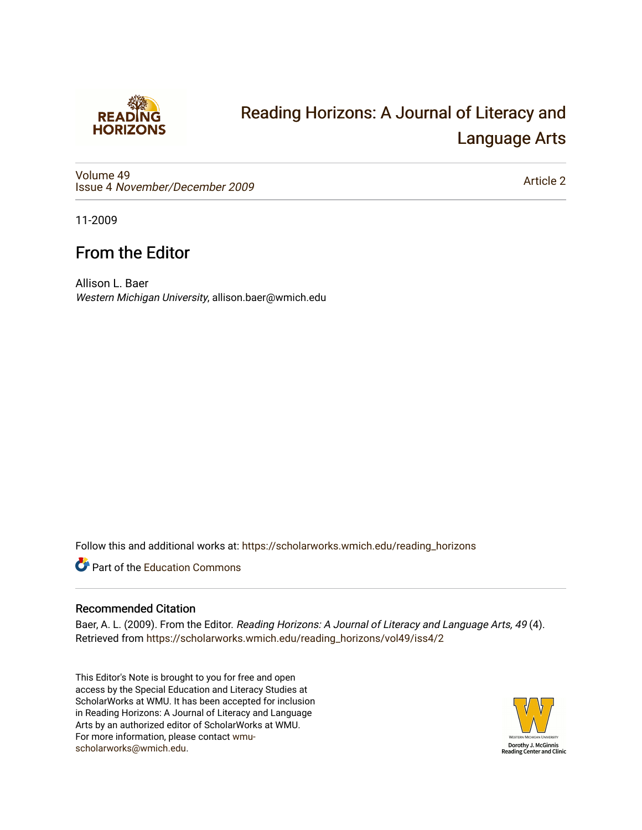

## [Reading Horizons: A Journal of Literacy and](https://scholarworks.wmich.edu/reading_horizons)  [Language Arts](https://scholarworks.wmich.edu/reading_horizons)

[Volume 49](https://scholarworks.wmich.edu/reading_horizons/vol49) Issue 4 [November/December 2009](https://scholarworks.wmich.edu/reading_horizons/vol49/iss4)

[Article 2](https://scholarworks.wmich.edu/reading_horizons/vol49/iss4/2) 

11-2009

## From the Editor

Allison L. Baer Western Michigan University, allison.baer@wmich.edu

Follow this and additional works at: [https://scholarworks.wmich.edu/reading\\_horizons](https://scholarworks.wmich.edu/reading_horizons?utm_source=scholarworks.wmich.edu%2Freading_horizons%2Fvol49%2Fiss4%2F2&utm_medium=PDF&utm_campaign=PDFCoverPages)

Part of the [Education Commons](http://network.bepress.com/hgg/discipline/784?utm_source=scholarworks.wmich.edu%2Freading_horizons%2Fvol49%2Fiss4%2F2&utm_medium=PDF&utm_campaign=PDFCoverPages)

## Recommended Citation

Baer, A. L. (2009). From the Editor. Reading Horizons: A Journal of Literacy and Language Arts, 49 (4). Retrieved from [https://scholarworks.wmich.edu/reading\\_horizons/vol49/iss4/2](https://scholarworks.wmich.edu/reading_horizons/vol49/iss4/2?utm_source=scholarworks.wmich.edu%2Freading_horizons%2Fvol49%2Fiss4%2F2&utm_medium=PDF&utm_campaign=PDFCoverPages) 

This Editor's Note is brought to you for free and open access by the Special Education and Literacy Studies at ScholarWorks at WMU. It has been accepted for inclusion in Reading Horizons: A Journal of Literacy and Language Arts by an authorized editor of ScholarWorks at WMU. For more information, please contact [wmu](mailto:wmu-scholarworks@wmich.edu)[scholarworks@wmich.edu.](mailto:wmu-scholarworks@wmich.edu)

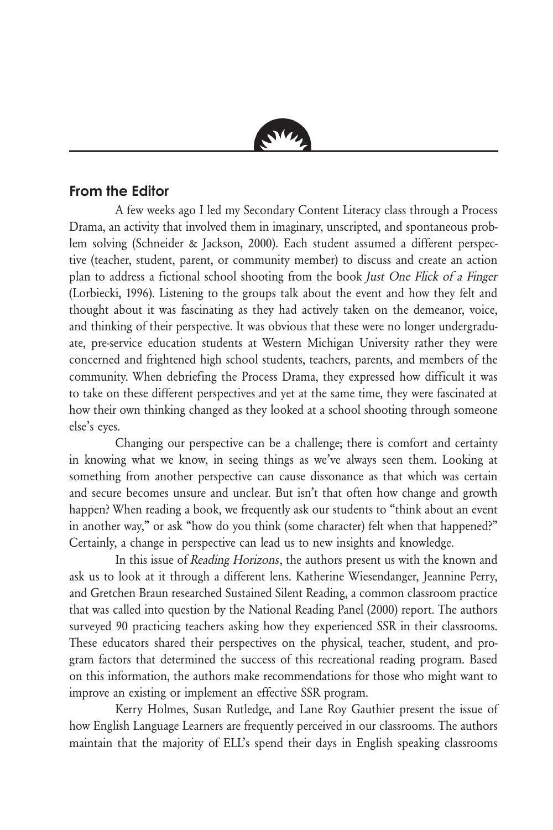

## **From the Editor**

A few weeks ago I led my Secondary Content Literacy class through a Process Drama, an activity that involved them in imaginary, unscripted, and spontaneous problem solving (Schneider & Jackson, 2000). Each student assumed a different perspective (teacher, student, parent, or community member) to discuss and create an action plan to address a fictional school shooting from the book Just One Flick of a Finger (Lorbiecki, 1996). Listening to the groups talk about the event and how they felt and thought about it was fascinating as they had actively taken on the demeanor, voice, and thinking of their perspective. It was obvious that these were no longer undergraduate, pre-service education students at Western Michigan University rather they were concerned and frightened high school students, teachers, parents, and members of the community. When debriefing the Process Drama, they expressed how difficult it was to take on these different perspectives and yet at the same time, they were fascinated at how their own thinking changed as they looked at a school shooting through someone else's eyes.

Changing our perspective can be a challenge; there is comfort and certainty in knowing what we know, in seeing things as we've always seen them. Looking at something from another perspective can cause dissonance as that which was certain and secure becomes unsure and unclear. But isn't that often how change and growth happen? When reading a book, we frequently ask our students to "think about an event in another way," or ask "how do you think (some character) felt when that happened?" Certainly, a change in perspective can lead us to new insights and knowledge.

In this issue of Reading Horizons, the authors present us with the known and ask us to look at it through a different lens. Katherine Wiesendanger, Jeannine Perry, and Gretchen Braun researched Sustained Silent Reading, a common classroom practice that was called into question by the National Reading Panel (2000) report. The authors surveyed 90 practicing teachers asking how they experienced SSR in their classrooms. These educators shared their perspectives on the physical, teacher, student, and program factors that determined the success of this recreational reading program. Based on this information, the authors make recommendations for those who might want to improve an existing or implement an effective SSR program.

Kerry Holmes, Susan Rutledge, and Lane Roy Gauthier present the issue of how English Language Learners are frequently perceived in our classrooms. The authors maintain that the majority of ELL's spend their days in English speaking classrooms